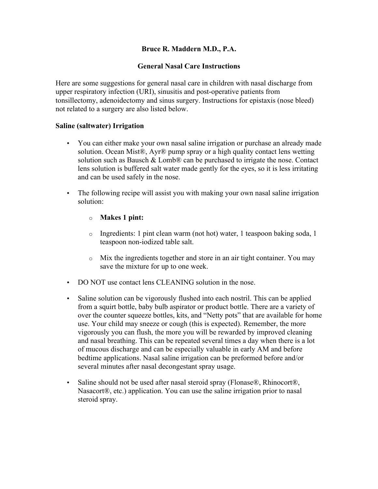# **Bruce R. Maddern M.D., P.A.**

### **General Nasal Care Instructions**

Here are some suggestions for general nasal care in children with nasal discharge from upper respiratory infection (URI), sinusitis and post-operative patients from tonsillectomy, adenoidectomy and sinus surgery. Instructions for epistaxis (nose bleed) not related to a surgery are also listed below.

#### **Saline (saltwater) Irrigation**

- You can either make your own nasal saline irrigation or purchase an already made solution. Ocean Mist®, Ayr® pump spray or a high quality contact lens wetting solution such as Bausch  $&$  Lomb $\mathcal D$  can be purchased to irrigate the nose. Contact lens solution is buffered salt water made gently for the eyes, so it is less irritating and can be used safely in the nose.
- The following recipe will assist you with making your own nasal saline irrigation solution:
	- o **Makes 1 pint:**
	- o Ingredients: 1 pint clean warm (not hot) water, 1 teaspoon baking soda, 1 teaspoon non-iodized table salt.
	- o Mix the ingredients together and store in an air tight container. You may save the mixture for up to one week.
- DO NOT use contact lens CLEANING solution in the nose.
- Saline solution can be vigorously flushed into each nostril. This can be applied from a squirt bottle, baby bulb aspirator or product bottle. There are a variety of over the counter squeeze bottles, kits, and "Netty pots" that are available for home use. Your child may sneeze or cough (this is expected). Remember, the more vigorously you can flush, the more you will be rewarded by improved cleaning and nasal breathing. This can be repeated several times a day when there is a lot of mucous discharge and can be especially valuable in early AM and before bedtime applications. Nasal saline irrigation can be preformed before and/or several minutes after nasal decongestant spray usage.
- Saline should not be used after nasal steroid spray (Flonase®, Rhinocort®, Nasacort®, etc.) application. You can use the saline irrigation prior to nasal steroid spray.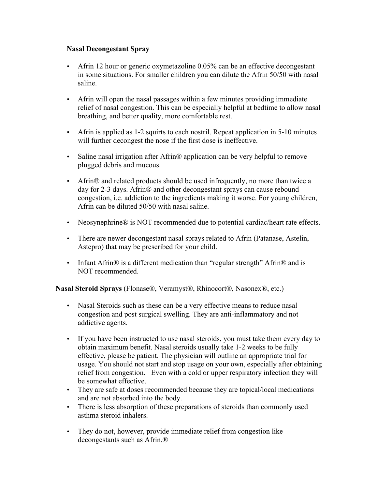### **Nasal Decongestant Spray**

- Afrin 12 hour or generic oxymetazoline 0.05% can be an effective decongestant in some situations. For smaller children you can dilute the Afrin 50/50 with nasal saline.
- Afrin will open the nasal passages within a few minutes providing immediate relief of nasal congestion. This can be especially helpful at bedtime to allow nasal breathing, and better quality, more comfortable rest.
- Afrin is applied as 1-2 squirts to each nostril. Repeat application in 5-10 minutes will further decongest the nose if the first dose is ineffective.
- Saline nasal irrigation after Afrin<sup>®</sup> application can be very helpful to remove plugged debris and mucous.
- Afrin® and related products should be used infrequently, no more than twice a day for 2-3 days. Afrin® and other decongestant sprays can cause rebound congestion, i.e. addiction to the ingredients making it worse. For young children, Afrin can be diluted 50/50 with nasal saline.
- Neosynephrine® is NOT recommended due to potential cardiac/heart rate effects.
- There are newer decongestant nasal sprays related to Afrin (Patanase, Astelin, Astepro) that may be prescribed for your child.
- Infant Afrin<sup>®</sup> is a different medication than "regular strength" Afrin<sup>®</sup> and is NOT recommended.

**Nasal Steroid Sprays** (Flonase®, Veramyst®, Rhinocort®, Nasonex®, etc.)

- Nasal Steroids such as these can be a very effective means to reduce nasal congestion and post surgical swelling. They are anti-inflammatory and not addictive agents.
- If you have been instructed to use nasal steroids, you must take them every day to obtain maximum benefit. Nasal steroids usually take 1-2 weeks to be fully effective, please be patient. The physician will outline an appropriate trial for usage. You should not start and stop usage on your own, especially after obtaining relief from congestion. Even with a cold or upper respiratory infection they will be somewhat effective.
- They are safe at doses recommended because they are topical/local medications and are not absorbed into the body.
- There is less absorption of these preparations of steroids than commonly used asthma steroid inhalers.
- They do not, however, provide immediate relief from congestion like decongestants such as Afrin.®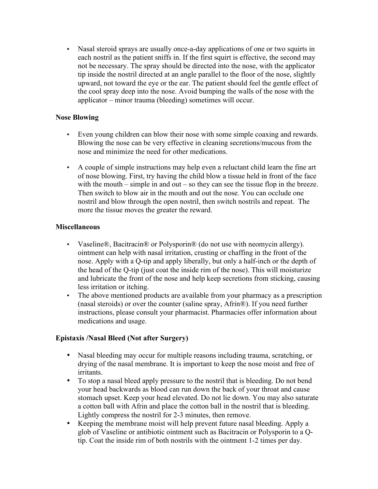• Nasal steroid sprays are usually once-a-day applications of one or two squirts in each nostril as the patient sniffs in. If the first squirt is effective, the second may not be necessary. The spray should be directed into the nose, with the applicator tip inside the nostril directed at an angle parallel to the floor of the nose, slightly upward, not toward the eye or the ear. The patient should feel the gentle effect of the cool spray deep into the nose. Avoid bumping the walls of the nose with the applicator – minor trauma (bleeding) sometimes will occur.

### **Nose Blowing**

- Even young children can blow their nose with some simple coaxing and rewards. Blowing the nose can be very effective in cleaning secretions/mucous from the nose and minimize the need for other medications.
- A couple of simple instructions may help even a reluctant child learn the fine art of nose blowing. First, try having the child blow a tissue held in front of the face with the mouth – simple in and out – so they can see the tissue flop in the breeze. Then switch to blow air in the mouth and out the nose. You can occlude one nostril and blow through the open nostril, then switch nostrils and repeat. The more the tissue moves the greater the reward.

#### **Miscellaneous**

- Vaseline®, Bacitracin® or Polysporin® (do not use with neomycin allergy). ointment can help with nasal irritation, crusting or chaffing in the front of the nose. Apply with a Q-tip and apply liberally, but only a half-inch or the depth of the head of the Q-tip (just coat the inside rim of the nose). This will moisturize and lubricate the front of the nose and help keep secretions from sticking, causing less irritation or itching.
- The above mentioned products are available from your pharmacy as a prescription (nasal steroids) or over the counter (saline spray, Afrin®). If you need further instructions, please consult your pharmacist. Pharmacies offer information about medications and usage.

## **Epistaxis /Nasal Bleed (Not after Surgery)**

- Nasal bleeding may occur for multiple reasons including trauma, scratching, or drying of the nasal membrane. It is important to keep the nose moist and free of irritants.
- To stop a nasal bleed apply pressure to the nostril that is bleeding. Do not bend your head backwards as blood can run down the back of your throat and cause stomach upset. Keep your head elevated. Do not lie down. You may also saturate a cotton ball with Afrin and place the cotton ball in the nostril that is bleeding. Lightly compress the nostril for 2-3 minutes, then remove.
- Keeping the membrane moist will help prevent future nasal bleeding. Apply a glob of Vaseline or antibiotic ointment such as Bacitracin or Polysporin to a Qtip. Coat the inside rim of both nostrils with the ointment 1-2 times per day.